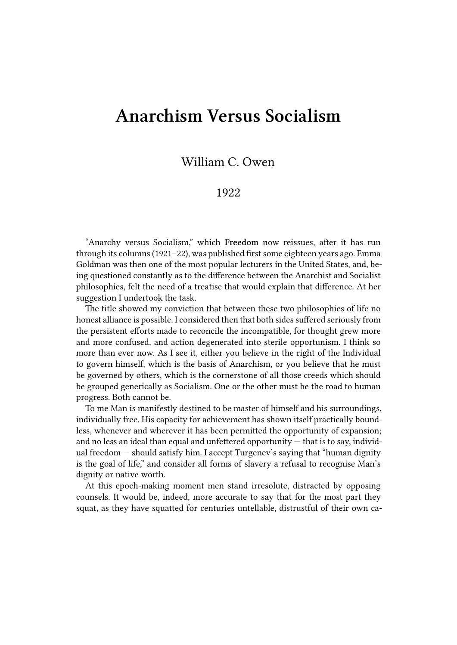## **Anarchism Versus Socialism**

## William C. Owen

## 1922

"Anarchy versus Socialism," which **Freedom** now reissues, after it has run through its columns (1921–22), was published first some eighteen years ago. Emma Goldman was then one of the most popular lecturers in the United States, and, being questioned constantly as to the difference between the Anarchist and Socialist philosophies, felt the need of a treatise that would explain that difference. At her suggestion I undertook the task.

The title showed my conviction that between these two philosophies of life no honest alliance is possible. I considered then that both sides suffered seriously from the persistent efforts made to reconcile the incompatible, for thought grew more and more confused, and action degenerated into sterile opportunism. I think so more than ever now. As I see it, either you believe in the right of the Individual to govern himself, which is the basis of Anarchism, or you believe that he must be governed by others, which is the cornerstone of all those creeds which should be grouped generically as Socialism. One or the other must be the road to human progress. Both cannot be.

To me Man is manifestly destined to be master of himself and his surroundings, individually free. His capacity for achievement has shown itself practically boundless, whenever and wherever it has been permitted the opportunity of expansion; and no less an ideal than equal and unfettered opportunity — that is to say, individual freedom — should satisfy him. I accept Turgenev's saying that "human dignity is the goal of life," and consider all forms of slavery a refusal to recognise Man's dignity or native worth.

At this epoch-making moment men stand irresolute, distracted by opposing counsels. It would be, indeed, more accurate to say that for the most part they squat, as they have squatted for centuries untellable, distrustful of their own ca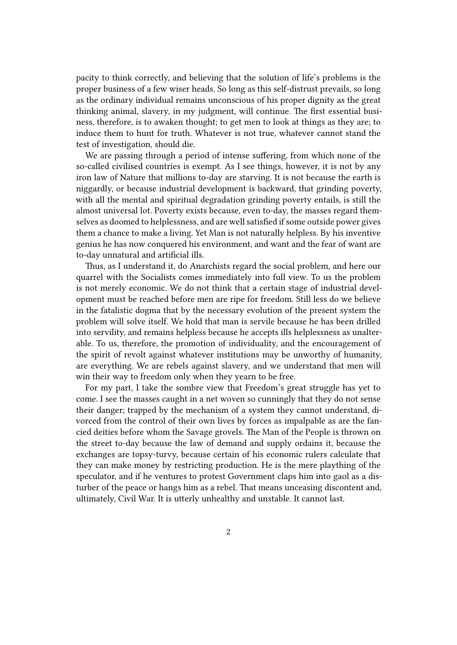pacity to think correctly, and believing that the solution of life's problems is the proper business of a few wiser heads. So long as this self-distrust prevails, so long as the ordinary individual remains unconscious of his proper dignity as the great thinking animal, slavery, in my judgment, will continue. The first essential business, therefore, is to awaken thought; to get men to look at things as they are; to induce them to hunt for truth. Whatever is not true, whatever cannot stand the test of investigation, should die.

We are passing through a period of intense suffering, from which none of the so-called civilised countries is exempt. As I see things, however, it is not by any iron law of Nature that millions to-day are starving. It is not because the earth is niggardly, or because industrial development is backward, that grinding poverty, with all the mental and spiritual degradation grinding poverty entails, is still the almost universal lot. Poverty exists because, even to-day, the masses regard themselves as doomed to helplessness, and are well satisfied if some outside power gives them a chance to make a living. Yet Man is not naturally helpless. By his inventive genius he has now conquered his environment, and want and the fear of want are to-day unnatural and artificial ills.

Thus, as I understand it, do Anarchists regard the social problem, and here our quarrel with the Socialists comes immediately into full view. To us the problem is not merely economic. We do not think that a certain stage of industrial development must be reached before men are ripe for freedom. Still less do we believe in the fatalistic dogma that by the necessary evolution of the present system the problem will solve itself. We hold that man is servile because he has been drilled into servility, and remains helpless because he accepts ills helplessness as unalterable. To us, therefore, the promotion of individuality, and the encouragement of the spirit of revolt against whatever institutions may be unworthy of humanity, are everything. We are rebels against slavery, and we understand that men will win their way to freedom only when they yearn to be free.

For my part, I take the sombre view that Freedom's great struggle has yet to come. I see the masses caught in a net woven so cunningly that they do not sense their danger; trapped by the mechanism of a system they cannot understand, divorced from the control of their own lives by forces as impalpable as are the fancied deities before whom the Savage grovels. The Man of the People is thrown on the street to-day because the law of demand and supply ordains it, because the exchanges are topsy-turvy, because certain of his economic rulers calculate that they can make money by restricting production. He is the mere plaything of the speculator, and if he ventures to protest Government claps him into gaol as a disturber of the peace or hangs him as a rebel. That means unceasing discontent and, ultimately, Civil War. It is utterly unhealthy and unstable. It cannot last.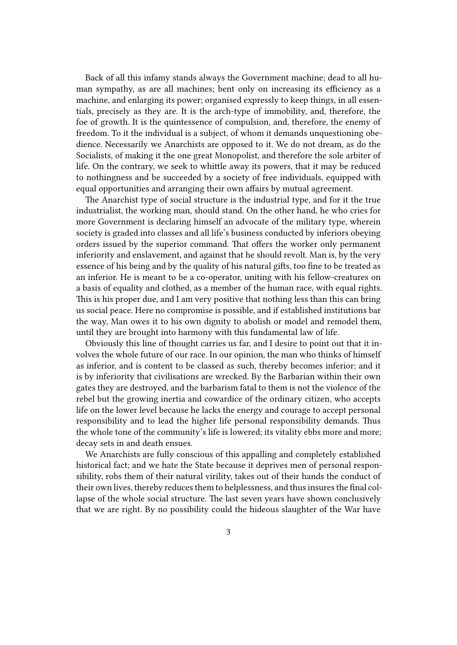Back of all this infamy stands always the Government machine; dead to all human sympathy, as are all machines; bent only on increasing its efficiency as a machine, and enlarging its power; organised expressly to keep things, in all essentials, precisely as they are. It is the arch-type of immobility, and, therefore, the foe of growth. It is the quintessence of compulsion, and, therefore, the enemy of freedom. To it the individual is a subject, of whom it demands unquestioning obedience. Necessarily we Anarchists are opposed to it. We do not dream, as do the Socialists, of making it the one great Monopolist, and therefore the sole arbiter of life. On the contrary, we seek to whittle away its powers, that it may be reduced to nothingness and be succeeded by a society of free individuals, equipped with equal opportunities and arranging their own affairs by mutual agreement.

The Anarchist type of social structure is the industrial type, and for it the true industrialist, the working man, should stand. On the other hand, he who cries for more Government is declaring himself an advocate of the military type, wherein society is graded into classes and all life's business conducted by inferiors obeying orders issued by the superior command. That offers the worker only permanent inferiority and enslavement, and against that he should revolt. Man is, by the very essence of his being and by the quality of his natural gifts, too fine to be treated as an inferior. He is meant to be a co-operator, uniting with his fellow-creatures on a basis of equality and clothed, as a member of the human race, with equal rights. This is his proper due, and I am very positive that nothing less than this can bring us social peace. Here no compromise is possible, and if established institutions bar the way, Man owes it to his own dignity to abolish or model and remodel them, until they are brought into harmony with this fundamental law of life.

Obviously this line of thought carries us far, and I desire to point out that it involves the whole future of our race. In our opinion, the man who thinks of himself as inferior, and is content to be classed as such, thereby becomes inferior; and it is by inferiority that civilisations are wrecked. By the Barbarian within their own gates they are destroyed, and the barbarism fatal to them is not the violence of the rebel but the growing inertia and cowardice of the ordinary citizen, who accepts life on the lower level because he lacks the energy and courage to accept personal responsibility and to lead the higher life personal responsibility demands. Thus the whole tone of the community's life is lowered; its vitality ebbs more and more; decay sets in and death ensues.

We Anarchists are fully conscious of this appalling and completely established historical fact; and we hate the State because it deprives men of personal responsibility, robs them of their natural virility, takes out of their hands the conduct of their own lives, thereby reduces them to helplessness, and thus insures the final collapse of the whole social structure. The last seven years have shown conclusively that we are right. By no possibility could the hideous slaughter of the War have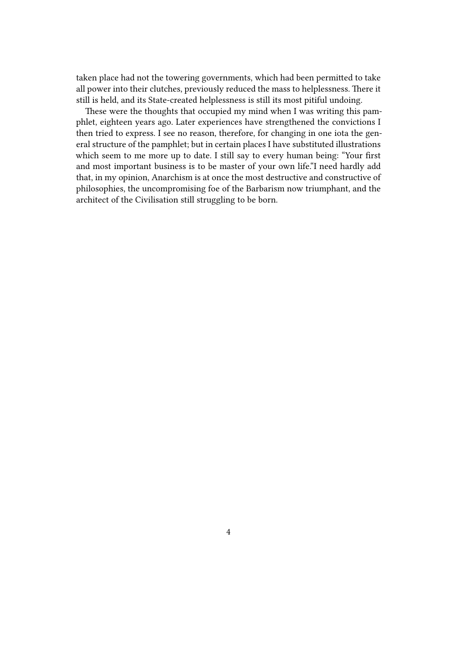taken place had not the towering governments, which had been permitted to take all power into their clutches, previously reduced the mass to helplessness. There it still is held, and its State-created helplessness is still its most pitiful undoing.

These were the thoughts that occupied my mind when I was writing this pamphlet, eighteen years ago. Later experiences have strengthened the convictions I then tried to express. I see no reason, therefore, for changing in one iota the general structure of the pamphlet; but in certain places I have substituted illustrations which seem to me more up to date. I still say to every human being: "Your first and most important business is to be master of your own life."I need hardly add that, in my opinion, Anarchism is at once the most destructive and constructive of philosophies, the uncompromising foe of the Barbarism now triumphant, and the architect of the Civilisation still struggling to be born.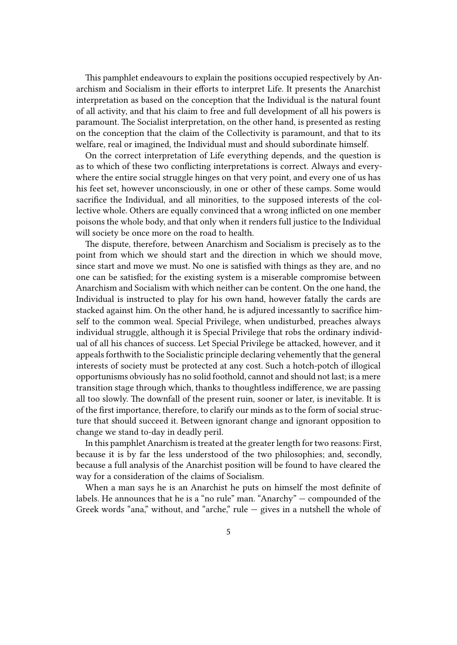This pamphlet endeavours to explain the positions occupied respectively by Anarchism and Socialism in their efforts to interpret Life. It presents the Anarchist interpretation as based on the conception that the Individual is the natural fount of all activity, and that his claim to free and full development of all his powers is paramount. The Socialist interpretation, on the other hand, is presented as resting on the conception that the claim of the Collectivity is paramount, and that to its welfare, real or imagined, the Individual must and should subordinate himself.

On the correct interpretation of Life everything depends, and the question is as to which of these two conflicting interpretations is correct. Always and everywhere the entire social struggle hinges on that very point, and every one of us has his feet set, however unconsciously, in one or other of these camps. Some would sacrifice the Individual, and all minorities, to the supposed interests of the collective whole. Others are equally convinced that a wrong inflicted on one member poisons the whole body, and that only when it renders full justice to the Individual will society be once more on the road to health.

The dispute, therefore, between Anarchism and Socialism is precisely as to the point from which we should start and the direction in which we should move, since start and move we must. No one is satisfied with things as they are, and no one can be satisfied; for the existing system is a miserable compromise between Anarchism and Socialism with which neither can be content. On the one hand, the Individual is instructed to play for his own hand, however fatally the cards are stacked against him. On the other hand, he is adjured incessantly to sacrifice himself to the common weal. Special Privilege, when undisturbed, preaches always individual struggle, although it is Special Privilege that robs the ordinary individual of all his chances of success. Let Special Privilege be attacked, however, and it appeals forthwith to the Socialistic principle declaring vehemently that the general interests of society must be protected at any cost. Such a hotch-potch of illogical opportunisms obviously has no solid foothold, cannot and should not last; is a mere transition stage through which, thanks to thoughtless indifference, we are passing all too slowly. The downfall of the present ruin, sooner or later, is inevitable. It is of the first importance, therefore, to clarify our minds as to the form of social structure that should succeed it. Between ignorant change and ignorant opposition to change we stand to-day in deadly peril.

In this pamphlet Anarchism is treated at the greater length for two reasons: First, because it is by far the less understood of the two philosophies; and, secondly, because a full analysis of the Anarchist position will be found to have cleared the way for a consideration of the claims of Socialism.

When a man says he is an Anarchist he puts on himself the most definite of labels. He announces that he is a "no rule" man. "Anarchy" — compounded of the Greek words "ana," without, and "arche," rule  $-$  gives in a nutshell the whole of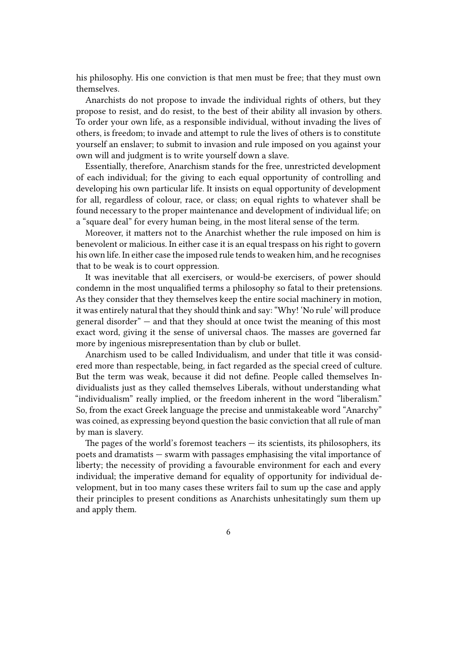his philosophy. His one conviction is that men must be free; that they must own themselves.

Anarchists do not propose to invade the individual rights of others, but they propose to resist, and do resist, to the best of their ability all invasion by others. To order your own life, as a responsible individual, without invading the lives of others, is freedom; to invade and attempt to rule the lives of others is to constitute yourself an enslaver; to submit to invasion and rule imposed on you against your own will and judgment is to write yourself down a slave.

Essentially, therefore, Anarchism stands for the free, unrestricted development of each individual; for the giving to each equal opportunity of controlling and developing his own particular life. It insists on equal opportunity of development for all, regardless of colour, race, or class; on equal rights to whatever shall be found necessary to the proper maintenance and development of individual life; on a "square deal" for every human being, in the most literal sense of the term.

Moreover, it matters not to the Anarchist whether the rule imposed on him is benevolent or malicious. In either case it is an equal trespass on his right to govern his own life. In either case the imposed rule tends to weaken him, and he recognises that to be weak is to court oppression.

It was inevitable that all exercisers, or would-be exercisers, of power should condemn in the most unqualified terms a philosophy so fatal to their pretensions. As they consider that they themselves keep the entire social machinery in motion, it was entirely natural that they should think and say: "Why! 'No rule' will produce general disorder" — and that they should at once twist the meaning of this most exact word, giving it the sense of universal chaos. The masses are governed far more by ingenious misrepresentation than by club or bullet.

Anarchism used to be called Individualism, and under that title it was considered more than respectable, being, in fact regarded as the special creed of culture. But the term was weak, because it did not define. People called themselves Individualists just as they called themselves Liberals, without understanding what "individualism" really implied, or the freedom inherent in the word "liberalism." So, from the exact Greek language the precise and unmistakeable word "Anarchy" was coined, as expressing beyond question the basic conviction that all rule of man by man is slavery.

The pages of the world's foremost teachers  $-$  its scientists, its philosophers, its poets and dramatists — swarm with passages emphasising the vital importance of liberty; the necessity of providing a favourable environment for each and every individual; the imperative demand for equality of opportunity for individual development, but in too many cases these writers fail to sum up the case and apply their principles to present conditions as Anarchists unhesitatingly sum them up and apply them.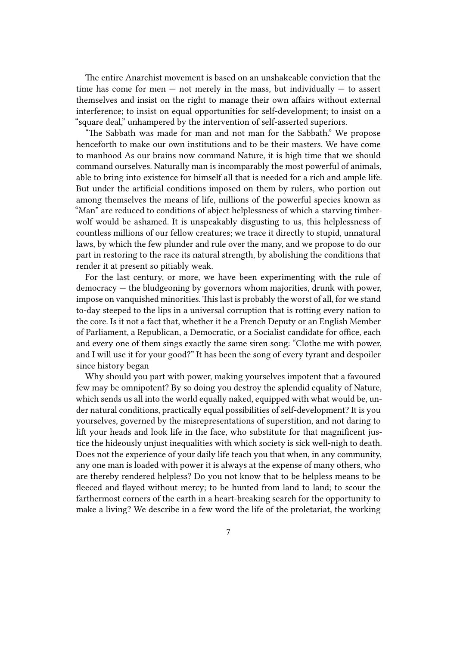The entire Anarchist movement is based on an unshakeable conviction that the time has come for men  $-$  not merely in the mass, but individually  $-$  to assert themselves and insist on the right to manage their own affairs without external interference; to insist on equal opportunities for self-development; to insist on a "square deal," unhampered by the intervention of self-asserted superiors.

"The Sabbath was made for man and not man for the Sabbath." We propose henceforth to make our own institutions and to be their masters. We have come to manhood As our brains now command Nature, it is high time that we should command ourselves. Naturally man is incomparably the most powerful of animals, able to bring into existence for himself all that is needed for a rich and ample life. But under the artificial conditions imposed on them by rulers, who portion out among themselves the means of life, millions of the powerful species known as "Man" are reduced to conditions of abject helplessness of which a starving timberwolf would be ashamed. It is unspeakably disgusting to us, this helplessness of countless millions of our fellow creatures; we trace it directly to stupid, unnatural laws, by which the few plunder and rule over the many, and we propose to do our part in restoring to the race its natural strength, by abolishing the conditions that render it at present so pitiably weak.

For the last century, or more, we have been experimenting with the rule of democracy — the bludgeoning by governors whom majorities, drunk with power, impose on vanquished minorities. This last is probably the worst of all, for we stand to-day steeped to the lips in a universal corruption that is rotting every nation to the core. Is it not a fact that, whether it be a French Deputy or an English Member of Parliament, a Republican, a Democratic, or a Socialist candidate for office, each and every one of them sings exactly the same siren song: "Clothe me with power, and I will use it for your good?" It has been the song of every tyrant and despoiler since history began

Why should you part with power, making yourselves impotent that a favoured few may be omnipotent? By so doing you destroy the splendid equality of Nature, which sends us all into the world equally naked, equipped with what would be, under natural conditions, practically equal possibilities of self-development? It is you yourselves, governed by the misrepresentations of superstition, and not daring to lift your heads and look life in the face, who substitute for that magnificent justice the hideously unjust inequalities with which society is sick well-nigh to death. Does not the experience of your daily life teach you that when, in any community, any one man is loaded with power it is always at the expense of many others, who are thereby rendered helpless? Do you not know that to be helpless means to be fleeced and flayed without mercy; to be hunted from land to land; to scour the farthermost corners of the earth in a heart-breaking search for the opportunity to make a living? We describe in a few word the life of the proletariat, the working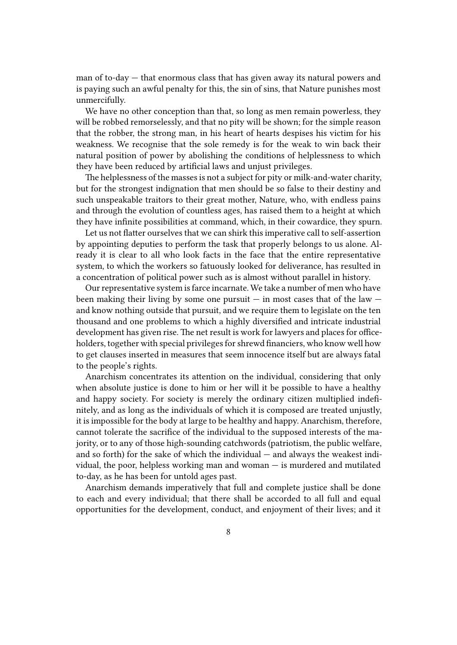man of to-day — that enormous class that has given away its natural powers and is paying such an awful penalty for this, the sin of sins, that Nature punishes most unmercifully.

We have no other conception than that, so long as men remain powerless, they will be robbed remorselessly, and that no pity will be shown; for the simple reason that the robber, the strong man, in his heart of hearts despises his victim for his weakness. We recognise that the sole remedy is for the weak to win back their natural position of power by abolishing the conditions of helplessness to which they have been reduced by artificial laws and unjust privileges.

The helplessness of the masses is not a subject for pity or milk-and-water charity, but for the strongest indignation that men should be so false to their destiny and such unspeakable traitors to their great mother, Nature, who, with endless pains and through the evolution of countless ages, has raised them to a height at which they have infinite possibilities at command, which, in their cowardice, they spurn.

Let us not flatter ourselves that we can shirk this imperative call to self-assertion by appointing deputies to perform the task that properly belongs to us alone. Already it is clear to all who look facts in the face that the entire representative system, to which the workers so fatuously looked for deliverance, has resulted in a concentration of political power such as is almost without parallel in history.

Our representative system is farce incarnate. We take a number of men who have been making their living by some one pursuit  $-$  in most cases that of the law  $$ and know nothing outside that pursuit, and we require them to legislate on the ten thousand and one problems to which a highly diversified and intricate industrial development has given rise. The net result is work for lawyers and places for officeholders, together with special privileges for shrewd financiers, who know well how to get clauses inserted in measures that seem innocence itself but are always fatal to the people's rights.

Anarchism concentrates its attention on the individual, considering that only when absolute justice is done to him or her will it be possible to have a healthy and happy society. For society is merely the ordinary citizen multiplied indefinitely, and as long as the individuals of which it is composed are treated unjustly, it is impossible for the body at large to be healthy and happy. Anarchism, therefore, cannot tolerate the sacrifice of the individual to the supposed interests of the majority, or to any of those high-sounding catchwords (patriotism, the public welfare, and so forth) for the sake of which the individual — and always the weakest individual, the poor, helpless working man and woman — is murdered and mutilated to-day, as he has been for untold ages past.

Anarchism demands imperatively that full and complete justice shall be done to each and every individual; that there shall be accorded to all full and equal opportunities for the development, conduct, and enjoyment of their lives; and it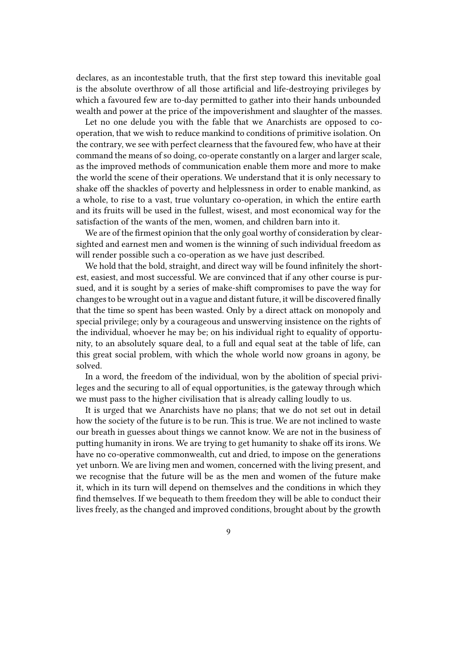declares, as an incontestable truth, that the first step toward this inevitable goal is the absolute overthrow of all those artificial and life-destroying privileges by which a favoured few are to-day permitted to gather into their hands unbounded wealth and power at the price of the impoverishment and slaughter of the masses.

Let no one delude you with the fable that we Anarchists are opposed to cooperation, that we wish to reduce mankind to conditions of primitive isolation. On the contrary, we see with perfect clearness that the favoured few, who have at their command the means of so doing, co-operate constantly on a larger and larger scale, as the improved methods of communication enable them more and more to make the world the scene of their operations. We understand that it is only necessary to shake off the shackles of poverty and helplessness in order to enable mankind, as a whole, to rise to a vast, true voluntary co-operation, in which the entire earth and its fruits will be used in the fullest, wisest, and most economical way for the satisfaction of the wants of the men, women, and children barn into it.

We are of the firmest opinion that the only goal worthy of consideration by clearsighted and earnest men and women is the winning of such individual freedom as will render possible such a co-operation as we have just described.

We hold that the bold, straight, and direct way will be found infinitely the shortest, easiest, and most successful. We are convinced that if any other course is pursued, and it is sought by a series of make-shift compromises to pave the way for changes to be wrought out in a vague and distant future, it will be discovered finally that the time so spent has been wasted. Only by a direct attack on monopoly and special privilege; only by a courageous and unswerving insistence on the rights of the individual, whoever he may be; on his individual right to equality of opportunity, to an absolutely square deal, to a full and equal seat at the table of life, can this great social problem, with which the whole world now groans in agony, be solved.

In a word, the freedom of the individual, won by the abolition of special privileges and the securing to all of equal opportunities, is the gateway through which we must pass to the higher civilisation that is already calling loudly to us.

It is urged that we Anarchists have no plans; that we do not set out in detail how the society of the future is to be run. This is true. We are not inclined to waste our breath in guesses about things we cannot know. We are not in the business of putting humanity in irons. We are trying to get humanity to shake off its irons. We have no co-operative commonwealth, cut and dried, to impose on the generations yet unborn. We are living men and women, concerned with the living present, and we recognise that the future will be as the men and women of the future make it, which in its turn will depend on themselves and the conditions in which they find themselves. If we bequeath to them freedom they will be able to conduct their lives freely, as the changed and improved conditions, brought about by the growth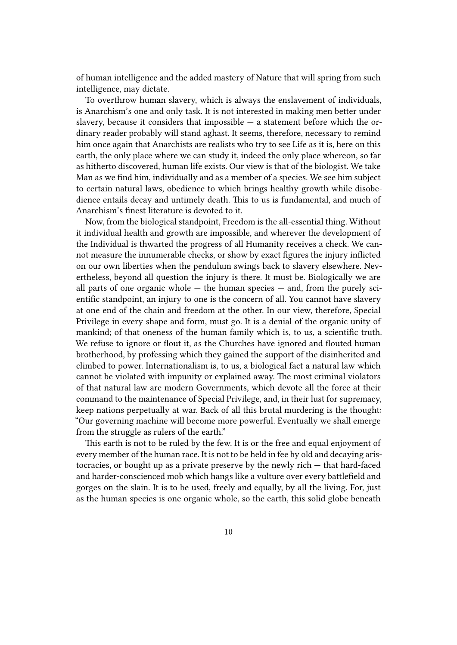of human intelligence and the added mastery of Nature that will spring from such intelligence, may dictate.

To overthrow human slavery, which is always the enslavement of individuals, is Anarchism's one and only task. It is not interested in making men better under slavery, because it considers that impossible  $-$  a statement before which the ordinary reader probably will stand aghast. It seems, therefore, necessary to remind him once again that Anarchists are realists who try to see Life as it is, here on this earth, the only place where we can study it, indeed the only place whereon, so far as hitherto discovered, human life exists. Our view is that of the biologist. We take Man as we find him, individually and as a member of a species. We see him subject to certain natural laws, obedience to which brings healthy growth while disobedience entails decay and untimely death. This to us is fundamental, and much of Anarchism's finest literature is devoted to it.

Now, from the biological standpoint, Freedom is the all-essential thing. Without it individual health and growth are impossible, and wherever the development of the Individual is thwarted the progress of all Humanity receives a check. We cannot measure the innumerable checks, or show by exact figures the injury inflicted on our own liberties when the pendulum swings back to slavery elsewhere. Nevertheless, beyond all question the injury is there. It must be. Biologically we are all parts of one organic whole  $-$  the human species  $-$  and, from the purely scientific standpoint, an injury to one is the concern of all. You cannot have slavery at one end of the chain and freedom at the other. In our view, therefore, Special Privilege in every shape and form, must go. It is a denial of the organic unity of mankind; of that oneness of the human family which is, to us, a scientific truth. We refuse to ignore or flout it, as the Churches have ignored and flouted human brotherhood, by professing which they gained the support of the disinherited and climbed to power. Internationalism is, to us, a biological fact a natural law which cannot be violated with impunity or explained away. The most criminal violators of that natural law are modern Governments, which devote all the force at their command to the maintenance of Special Privilege, and, in their lust for supremacy, keep nations perpetually at war. Back of all this brutal murdering is the thought: "Our governing machine will become more powerful. Eventually we shall emerge from the struggle as rulers of the earth."

This earth is not to be ruled by the few. It is or the free and equal enjoyment of every member of the human race. It is not to be held in fee by old and decaying aristocracies, or bought up as a private preserve by the newly rich — that hard-faced and harder-conscienced mob which hangs like a vulture over every battlefield and gorges on the slain. It is to be used, freely and equally, by all the living. For, just as the human species is one organic whole, so the earth, this solid globe beneath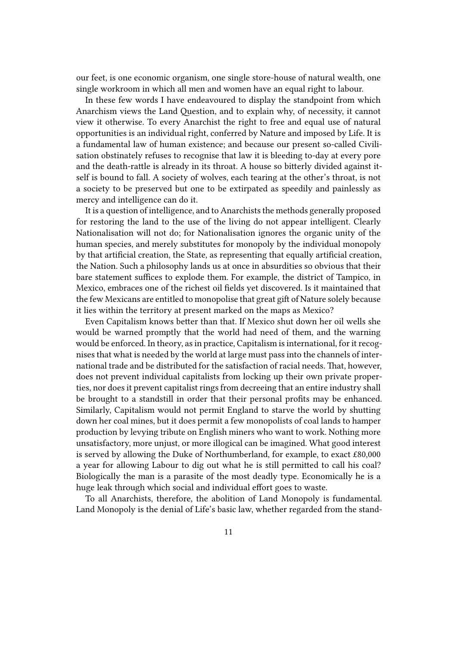our feet, is one economic organism, one single store-house of natural wealth, one single workroom in which all men and women have an equal right to labour.

In these few words I have endeavoured to display the standpoint from which Anarchism views the Land Question, and to explain why, of necessity, it cannot view it otherwise. To every Anarchist the right to free and equal use of natural opportunities is an individual right, conferred by Nature and imposed by Life. It is a fundamental law of human existence; and because our present so-called Civilisation obstinately refuses to recognise that law it is bleeding to-day at every pore and the death-rattle is already in its throat. A house so bitterly divided against itself is bound to fall. A society of wolves, each tearing at the other's throat, is not a society to be preserved but one to be extirpated as speedily and painlessly as mercy and intelligence can do it.

It is a question of intelligence, and to Anarchists the methods generally proposed for restoring the land to the use of the living do not appear intelligent. Clearly Nationalisation will not do; for Nationalisation ignores the organic unity of the human species, and merely substitutes for monopoly by the individual monopoly by that artificial creation, the State, as representing that equally artificial creation, the Nation. Such a philosophy lands us at once in absurdities so obvious that their bare statement suffices to explode them. For example, the district of Tampico, in Mexico, embraces one of the richest oil fields yet discovered. Is it maintained that the few Mexicans are entitled to monopolise that great gift of Nature solely because it lies within the territory at present marked on the maps as Mexico?

Even Capitalism knows better than that. If Mexico shut down her oil wells she would be warned promptly that the world had need of them, and the warning would be enforced. In theory, as in practice, Capitalism is international, for it recognises that what is needed by the world at large must pass into the channels of international trade and be distributed for the satisfaction of racial needs. That, however, does not prevent individual capitalists from locking up their own private properties, nor does it prevent capitalist rings from decreeing that an entire industry shall be brought to a standstill in order that their personal profits may be enhanced. Similarly, Capitalism would not permit England to starve the world by shutting down her coal mines, but it does permit a few monopolists of coal lands to hamper production by levying tribute on English miners who want to work. Nothing more unsatisfactory, more unjust, or more illogical can be imagined. What good interest is served by allowing the Duke of Northumberland, for example, to exact £80,000 a year for allowing Labour to dig out what he is still permitted to call his coal? Biologically the man is a parasite of the most deadly type. Economically he is a huge leak through which social and individual effort goes to waste.

To all Anarchists, therefore, the abolition of Land Monopoly is fundamental. Land Monopoly is the denial of Life's basic law, whether regarded from the stand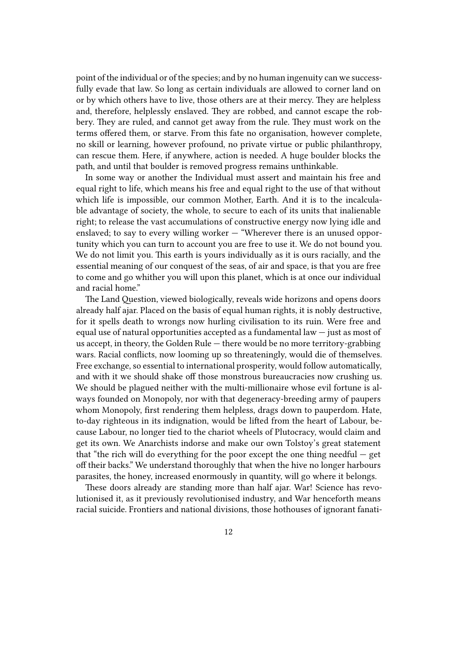point of the individual or of the species; and by no human ingenuity can we successfully evade that law. So long as certain individuals are allowed to corner land on or by which others have to live, those others are at their mercy. They are helpless and, therefore, helplessly enslaved. They are robbed, and cannot escape the robbery. They are ruled, and cannot get away from the rule. They must work on the terms offered them, or starve. From this fate no organisation, however complete, no skill or learning, however profound, no private virtue or public philanthropy, can rescue them. Here, if anywhere, action is needed. A huge boulder blocks the path, and until that boulder is removed progress remains unthinkable.

In some way or another the Individual must assert and maintain his free and equal right to life, which means his free and equal right to the use of that without which life is impossible, our common Mother, Earth. And it is to the incalculable advantage of society, the whole, to secure to each of its units that inalienable right; to release the vast accumulations of constructive energy now lying idle and enslaved; to say to every willing worker — "Wherever there is an unused opportunity which you can turn to account you are free to use it. We do not bound you. We do not limit you. This earth is yours individually as it is ours racially, and the essential meaning of our conquest of the seas, of air and space, is that you are free to come and go whither you will upon this planet, which is at once our individual and racial home."

The Land Question, viewed biologically, reveals wide horizons and opens doors already half ajar. Placed on the basis of equal human rights, it is nobly destructive, for it spells death to wrongs now hurling civilisation to its ruin. Were free and equal use of natural opportunities accepted as a fundamental law — just as most of us accept, in theory, the Golden Rule — there would be no more territory-grabbing wars. Racial conflicts, now looming up so threateningly, would die of themselves. Free exchange, so essential to international prosperity, would follow automatically, and with it we should shake off those monstrous bureaucracies now crushing us. We should be plagued neither with the multi-millionaire whose evil fortune is always founded on Monopoly, nor with that degeneracy-breeding army of paupers whom Monopoly, first rendering them helpless, drags down to pauperdom. Hate, to-day righteous in its indignation, would be lifted from the heart of Labour, because Labour, no longer tied to the chariot wheels of Plutocracy, would claim and get its own. We Anarchists indorse and make our own Tolstoy's great statement that "the rich will do everything for the poor except the one thing needful — get off their backs." We understand thoroughly that when the hive no longer harbours parasites, the honey, increased enormously in quantity, will go where it belongs.

These doors already are standing more than half ajar. War! Science has revolutionised it, as it previously revolutionised industry, and War henceforth means racial suicide. Frontiers and national divisions, those hothouses of ignorant fanati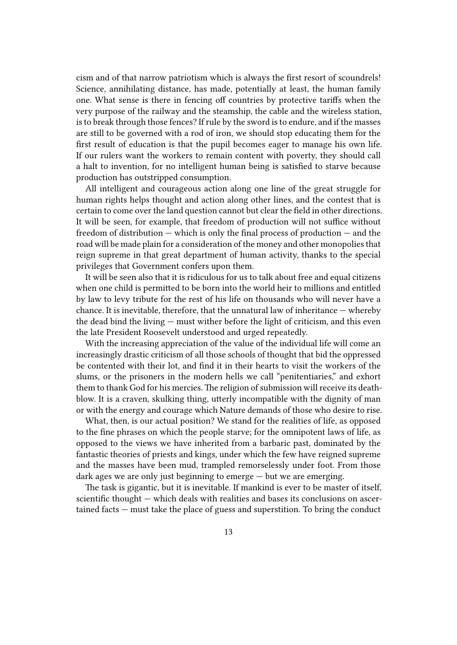cism and of that narrow patriotism which is always the first resort of scoundrels! Science, annihilating distance, has made, potentially at least, the human family one. What sense is there in fencing off countries by protective tariffs when the very purpose of the railway and the steamship, the cable and the wireless station, is to break through those fences? If rule by the sword is to endure, and if the masses are still to be governed with a rod of iron, we should stop educating them for the first result of education is that the pupil becomes eager to manage his own life. If our rulers want the workers to remain content with poverty, they should call a halt to invention, for no intelligent human being is satisfied to starve because production has outstripped consumption.

All intelligent and courageous action along one line of the great struggle for human rights helps thought and action along other lines, and the contest that is certain to come over the land question cannot but clear the field in other directions. It will be seen, for example, that freedom of production will not suffice without freedom of distribution — which is only the final process of production — and the road will be made plain for a consideration of the money and other monopolies that reign supreme in that great department of human activity, thanks to the special privileges that Government confers upon them.

It will be seen also that it is ridiculous for us to talk about free and equal citizens when one child is permitted to be born into the world heir to millions and entitled by law to levy tribute for the rest of his life on thousands who will never have a chance. It is inevitable, therefore, that the unnatural law of inheritance — whereby the dead bind the living — must wither before the light of criticism, and this even the late President Roosevelt understood and urged repeatedly.

With the increasing appreciation of the value of the individual life will come an increasingly drastic criticism of all those schools of thought that bid the oppressed be contented with their lot, and find it in their hearts to visit the workers of the slums, or the prisoners in the modern hells we call "penitentiaries," and exhort them to thank God for his mercies. The religion of submission will receive its deathblow. It is a craven, skulking thing, utterly incompatible with the dignity of man or with the energy and courage which Nature demands of those who desire to rise.

What, then, is our actual position? We stand for the realities of life, as opposed to the fine phrases on which the people starve; for the omnipotent laws of life, as opposed to the views we have inherited from a barbaric past, dominated by the fantastic theories of priests and kings, under which the few have reigned supreme and the masses have been mud, trampled remorselessly under foot. From those dark ages we are only just beginning to emerge — but we are emerging.

The task is gigantic, but it is inevitable. If mankind is ever to be master of itself, scientific thought — which deals with realities and bases its conclusions on ascertained facts — must take the place of guess and superstition. To bring the conduct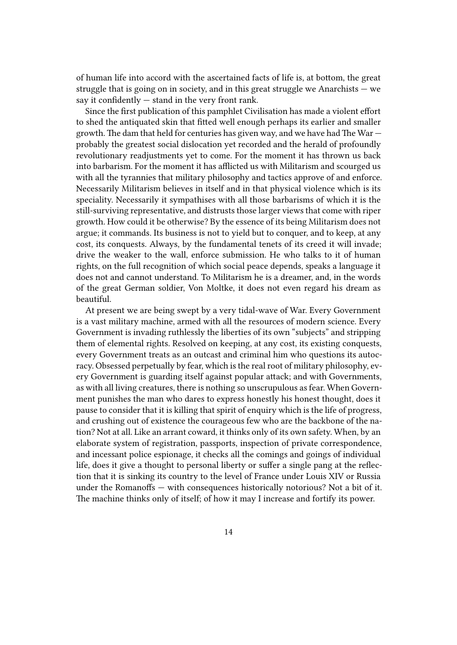of human life into accord with the ascertained facts of life is, at bottom, the great struggle that is going on in society, and in this great struggle we Anarchists  $-$  we say it confidently  $-$  stand in the very front rank.

Since the first publication of this pamphlet Civilisation has made a violent effort to shed the antiquated skin that fitted well enough perhaps its earlier and smaller growth. The dam that held for centuries has given way, and we have had The War probably the greatest social dislocation yet recorded and the herald of profoundly revolutionary readjustments yet to come. For the moment it has thrown us back into barbarism. For the moment it has afflicted us with Militarism and scourged us with all the tyrannies that military philosophy and tactics approve of and enforce. Necessarily Militarism believes in itself and in that physical violence which is its speciality. Necessarily it sympathises with all those barbarisms of which it is the still-surviving representative, and distrusts those larger views that come with riper growth. How could it be otherwise? By the essence of its being Militarism does not argue; it commands. Its business is not to yield but to conquer, and to keep, at any cost, its conquests. Always, by the fundamental tenets of its creed it will invade; drive the weaker to the wall, enforce submission. He who talks to it of human rights, on the full recognition of which social peace depends, speaks a language it does not and cannot understand. To Militarism he is a dreamer, and, in the words of the great German soldier, Von Moltke, it does not even regard his dream as beautiful.

At present we are being swept by a very tidal-wave of War. Every Government is a vast military machine, armed with all the resources of modern science. Every Government is invading ruthlessly the liberties of its own "subjects" and stripping them of elemental rights. Resolved on keeping, at any cost, its existing conquests, every Government treats as an outcast and criminal him who questions its autocracy. Obsessed perpetually by fear, which is the real root of military philosophy, every Government is guarding itself against popular attack; and with Governments, as with all living creatures, there is nothing so unscrupulous as fear. When Government punishes the man who dares to express honestly his honest thought, does it pause to consider that it is killing that spirit of enquiry which is the life of progress, and crushing out of existence the courageous few who are the backbone of the nation? Not at all. Like an arrant coward, it thinks only of its own safety. When, by an elaborate system of registration, passports, inspection of private correspondence, and incessant police espionage, it checks all the comings and goings of individual life, does it give a thought to personal liberty or suffer a single pang at the reflection that it is sinking its country to the level of France under Louis XIV or Russia under the Romanoffs — with consequences historically notorious? Not a bit of it. The machine thinks only of itself; of how it may I increase and fortify its power.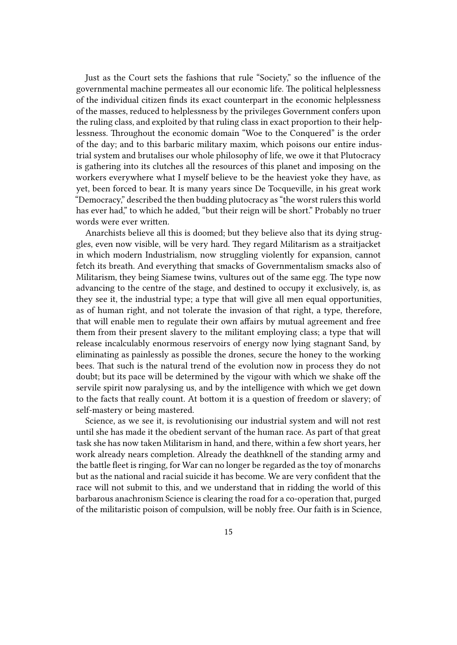Just as the Court sets the fashions that rule "Society," so the influence of the governmental machine permeates all our economic life. The political helplessness of the individual citizen finds its exact counterpart in the economic helplessness of the masses, reduced to helplessness by the privileges Government confers upon the ruling class, and exploited by that ruling class in exact proportion to their helplessness. Throughout the economic domain "Woe to the Conquered" is the order of the day; and to this barbaric military maxim, which poisons our entire industrial system and brutalises our whole philosophy of life, we owe it that Plutocracy is gathering into its clutches all the resources of this planet and imposing on the workers everywhere what I myself believe to be the heaviest yoke they have, as yet, been forced to bear. It is many years since De Tocqueville, in his great work "Democracy," described the then budding plutocracy as "the worst rulers this world has ever had," to which he added, "but their reign will be short." Probably no truer words were ever written.

Anarchists believe all this is doomed; but they believe also that its dying struggles, even now visible, will be very hard. They regard Militarism as a straitjacket in which modern Industrialism, now struggling violently for expansion, cannot fetch its breath. And everything that smacks of Governmentalism smacks also of Militarism, they being Siamese twins, vultures out of the same egg. The type now advancing to the centre of the stage, and destined to occupy it exclusively, is, as they see it, the industrial type; a type that will give all men equal opportunities, as of human right, and not tolerate the invasion of that right, a type, therefore, that will enable men to regulate their own affairs by mutual agreement and free them from their present slavery to the militant employing class; a type that will release incalculably enormous reservoirs of energy now lying stagnant Sand, by eliminating as painlessly as possible the drones, secure the honey to the working bees. That such is the natural trend of the evolution now in process they do not doubt; but its pace will be determined by the vigour with which we shake off the servile spirit now paralysing us, and by the intelligence with which we get down to the facts that really count. At bottom it is a question of freedom or slavery; of self-mastery or being mastered.

Science, as we see it, is revolutionising our industrial system and will not rest until she has made it the obedient servant of the human race. As part of that great task she has now taken Militarism in hand, and there, within a few short years, her work already nears completion. Already the deathknell of the standing army and the battle fleet is ringing, for War can no longer be regarded as the toy of monarchs but as the national and racial suicide it has become. We are very confident that the race will not submit to this, and we understand that in ridding the world of this barbarous anachronism Science is clearing the road for a co-operation that, purged of the militaristic poison of compulsion, will be nobly free. Our faith is in Science,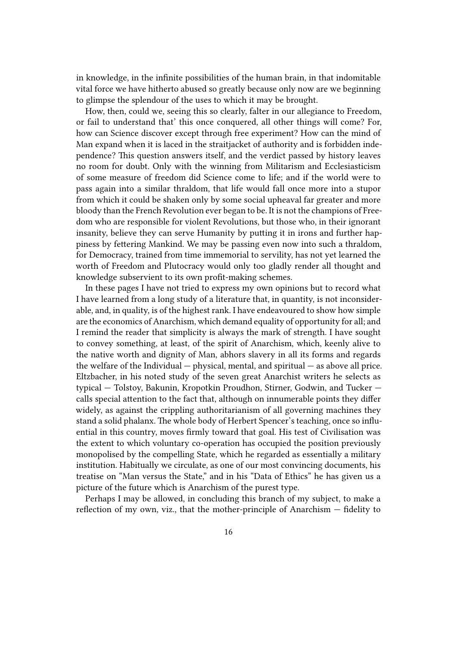in knowledge, in the infinite possibilities of the human brain, in that indomitable vital force we have hitherto abused so greatly because only now are we beginning to glimpse the splendour of the uses to which it may be brought.

How, then, could we, seeing this so clearly, falter in our allegiance to Freedom, or fail to understand that' this once conquered, all other things will come? For, how can Science discover except through free experiment? How can the mind of Man expand when it is laced in the straitjacket of authority and is forbidden independence? This question answers itself, and the verdict passed by history leaves no room for doubt. Only with the winning from Militarism and Ecclesiasticism of some measure of freedom did Science come to life; and if the world were to pass again into a similar thraldom, that life would fall once more into a stupor from which it could be shaken only by some social upheaval far greater and more bloody than the French Revolution ever began to be. It is not the champions of Freedom who are responsible for violent Revolutions, but those who, in their ignorant insanity, believe they can serve Humanity by putting it in irons and further happiness by fettering Mankind. We may be passing even now into such a thraldom, for Democracy, trained from time immemorial to servility, has not yet learned the worth of Freedom and Plutocracy would only too gladly render all thought and knowledge subservient to its own profit-making schemes.

In these pages I have not tried to express my own opinions but to record what I have learned from a long study of a literature that, in quantity, is not inconsiderable, and, in quality, is of the highest rank. I have endeavoured to show how simple are the economics of Anarchism, which demand equality of opportunity for all; and I remind the reader that simplicity is always the mark of strength. I have sought to convey something, at least, of the spirit of Anarchism, which, keenly alive to the native worth and dignity of Man, abhors slavery in all its forms and regards the welfare of the Individual  $-$  physical, mental, and spiritual  $-$  as above all price. Eltzbacher, in his noted study of the seven great Anarchist writers he selects as typical — Tolstoy, Bakunin, Kropotkin Proudhon, Stirner, Godwin, and Tucker calls special attention to the fact that, although on innumerable points they differ widely, as against the crippling authoritarianism of all governing machines they stand a solid phalanx. The whole body of Herbert Spencer's teaching, once so influential in this country, moves firmly toward that goal. His test of Civilisation was the extent to which voluntary co-operation has occupied the position previously monopolised by the compelling State, which he regarded as essentially a military institution. Habitually we circulate, as one of our most convincing documents, his treatise on "Man versus the State," and in his "Data of Ethics" he has given us a picture of the future which is Anarchism of the purest type.

Perhaps I may be allowed, in concluding this branch of my subject, to make a reflection of my own, viz., that the mother-principle of Anarchism — fidelity to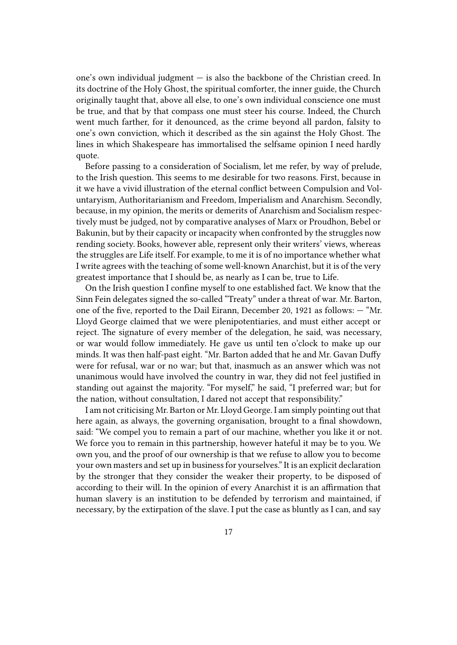one's own individual judgment — is also the backbone of the Christian creed. In its doctrine of the Holy Ghost, the spiritual comforter, the inner guide, the Church originally taught that, above all else, to one's own individual conscience one must be true, and that by that compass one must steer his course. Indeed, the Church went much farther, for it denounced, as the crime beyond all pardon, falsity to one's own conviction, which it described as the sin against the Holy Ghost. The lines in which Shakespeare has immortalised the selfsame opinion I need hardly quote.

Before passing to a consideration of Socialism, let me refer, by way of prelude, to the Irish question. This seems to me desirable for two reasons. First, because in it we have a vivid illustration of the eternal conflict between Compulsion and Voluntaryism, Authoritarianism and Freedom, Imperialism and Anarchism. Secondly, because, in my opinion, the merits or demerits of Anarchism and Socialism respectively must be judged, not by comparative analyses of Marx or Proudhon, Bebel or Bakunin, but by their capacity or incapacity when confronted by the struggles now rending society. Books, however able, represent only their writers' views, whereas the struggles are Life itself. For example, to me it is of no importance whether what I write agrees with the teaching of some well-known Anarchist, but it is of the very greatest importance that I should be, as nearly as I can be, true to Life.

On the Irish question I confine myself to one established fact. We know that the Sinn Fein delegates signed the so-called "Treaty" under a threat of war. Mr. Barton, one of the five, reported to the Dail Eirann, December 20, 1921 as follows: — "Mr. Lloyd George claimed that we were plenipotentiaries, and must either accept or reject. The signature of every member of the delegation, he said, was necessary, or war would follow immediately. He gave us until ten o'clock to make up our minds. It was then half-past eight. "Mr. Barton added that he and Mr. Gavan Duffy were for refusal, war or no war; but that, inasmuch as an answer which was not unanimous would have involved the country in war, they did not feel justified in standing out against the majority. "For myself," he said, "I preferred war; but for the nation, without consultation, I dared not accept that responsibility."

I am not criticising Mr. Barton or Mr. Lloyd George. I am simply pointing out that here again, as always, the governing organisation, brought to a final showdown, said: "We compel you to remain a part of our machine, whether you like it or not. We force you to remain in this partnership, however hateful it may be to you. We own you, and the proof of our ownership is that we refuse to allow you to become your own masters and set up in business for yourselves." It is an explicit declaration by the stronger that they consider the weaker their property, to be disposed of according to their will. In the opinion of every Anarchist it is an affirmation that human slavery is an institution to be defended by terrorism and maintained, if necessary, by the extirpation of the slave. I put the case as bluntly as I can, and say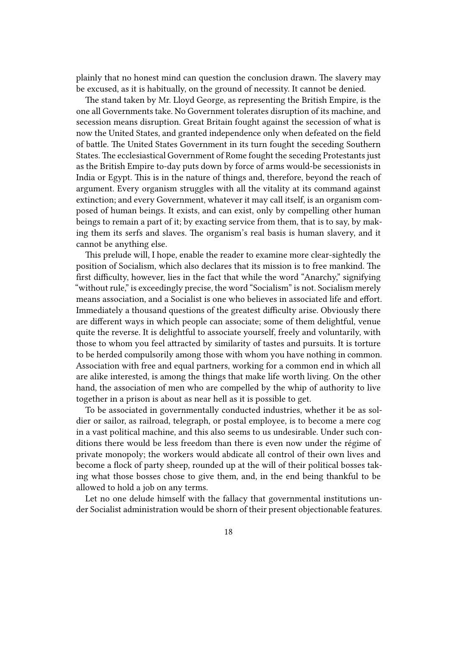plainly that no honest mind can question the conclusion drawn. The slavery may be excused, as it is habitually, on the ground of necessity. It cannot be denied.

The stand taken by Mr. Lloyd George, as representing the British Empire, is the one all Governments take. No Government tolerates disruption of its machine, and secession means disruption. Great Britain fought against the secession of what is now the United States, and granted independence only when defeated on the field of battle. The United States Government in its turn fought the seceding Southern States. The ecclesiastical Government of Rome fought the seceding Protestants just as the British Empire to-day puts down by force of arms would-be secessionists in India or Egypt. This is in the nature of things and, therefore, beyond the reach of argument. Every organism struggles with all the vitality at its command against extinction; and every Government, whatever it may call itself, is an organism composed of human beings. It exists, and can exist, only by compelling other human beings to remain a part of it; by exacting service from them, that is to say, by making them its serfs and slaves. The organism's real basis is human slavery, and it cannot be anything else.

This prelude will, I hope, enable the reader to examine more clear-sightedly the position of Socialism, which also declares that its mission is to free mankind. The first difficulty, however, lies in the fact that while the word "Anarchy," signifying "without rule," is exceedingly precise, the word "Socialism" is not. Socialism merely means association, and a Socialist is one who believes in associated life and effort. Immediately a thousand questions of the greatest difficulty arise. Obviously there are different ways in which people can associate; some of them delightful, venue quite the reverse. It is delightful to associate yourself, freely and voluntarily, with those to whom you feel attracted by similarity of tastes and pursuits. It is torture to be herded compulsorily among those with whom you have nothing in common. Association with free and equal partners, working for a common end in which all are alike interested, is among the things that make life worth living. On the other hand, the association of men who are compelled by the whip of authority to live together in a prison is about as near hell as it is possible to get.

To be associated in governmentally conducted industries, whether it be as soldier or sailor, as railroad, telegraph, or postal employee, is to become a mere cog in a vast political machine, and this also seems to us undesirable. Under such conditions there would be less freedom than there is even now under the régime of private monopoly; the workers would abdicate all control of their own lives and become a flock of party sheep, rounded up at the will of their political bosses taking what those bosses chose to give them, and, in the end being thankful to be allowed to hold a job on any terms.

Let no one delude himself with the fallacy that governmental institutions under Socialist administration would be shorn of their present objectionable features.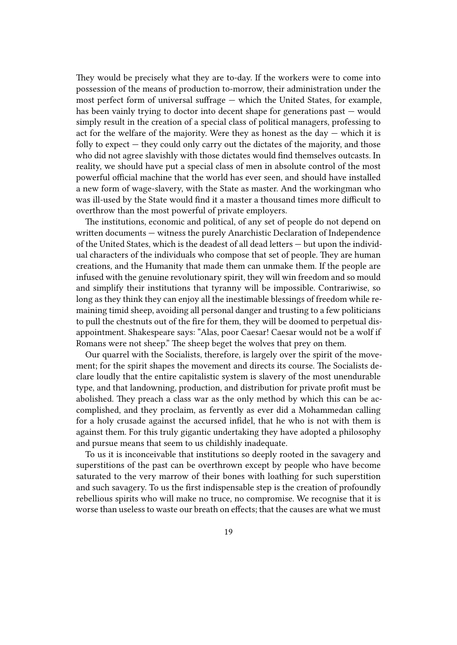They would be precisely what they are to-day. If the workers were to come into possession of the means of production to-morrow, their administration under the most perfect form of universal suffrage — which the United States, for example, has been vainly trying to doctor into decent shape for generations past — would simply result in the creation of a special class of political managers, professing to act for the welfare of the majority. Were they as honest as the day  $-$  which it is folly to expect — they could only carry out the dictates of the majority, and those who did not agree slavishly with those dictates would find themselves outcasts. In reality, we should have put a special class of men in absolute control of the most powerful official machine that the world has ever seen, and should have installed a new form of wage-slavery, with the State as master. And the workingman who was ill-used by the State would find it a master a thousand times more difficult to overthrow than the most powerful of private employers.

The institutions, economic and political, of any set of people do not depend on written documents — witness the purely Anarchistic Declaration of Independence of the United States, which is the deadest of all dead letters — but upon the individual characters of the individuals who compose that set of people. They are human creations, and the Humanity that made them can unmake them. If the people are infused with the genuine revolutionary spirit, they will win freedom and so mould and simplify their institutions that tyranny will be impossible. Contrariwise, so long as they think they can enjoy all the inestimable blessings of freedom while remaining timid sheep, avoiding all personal danger and trusting to a few politicians to pull the chestnuts out of the fire for them, they will be doomed to perpetual disappointment. Shakespeare says: "Alas, poor Caesar! Caesar would not be a wolf if Romans were not sheep." The sheep beget the wolves that prey on them.

Our quarrel with the Socialists, therefore, is largely over the spirit of the movement; for the spirit shapes the movement and directs its course. The Socialists declare loudly that the entire capitalistic system is slavery of the most unendurable type, and that landowning, production, and distribution for private profit must be abolished. They preach a class war as the only method by which this can be accomplished, and they proclaim, as fervently as ever did a Mohammedan calling for a holy crusade against the accursed infidel, that he who is not with them is against them. For this truly gigantic undertaking they have adopted a philosophy and pursue means that seem to us childishly inadequate.

To us it is inconceivable that institutions so deeply rooted in the savagery and superstitions of the past can be overthrown except by people who have become saturated to the very marrow of their bones with loathing for such superstition and such savagery. To us the first indispensable step is the creation of profoundly rebellious spirits who will make no truce, no compromise. We recognise that it is worse than useless to waste our breath on effects; that the causes are what we must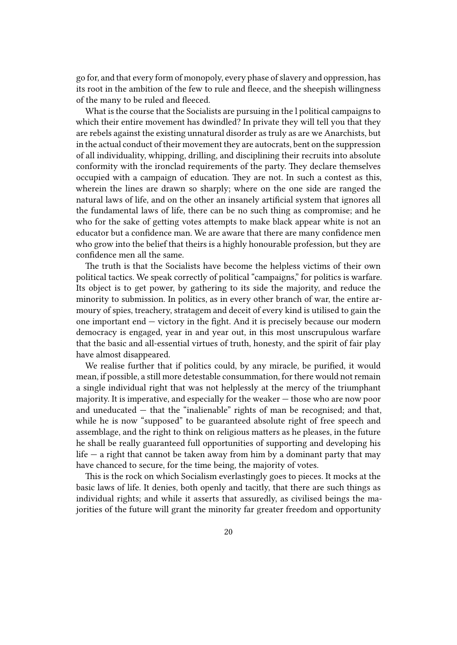go for, and that every form of monopoly, every phase of slavery and oppression, has its root in the ambition of the few to rule and fleece, and the sheepish willingness of the many to be ruled and fleeced.

What is the course that the Socialists are pursuing in the l political campaigns to which their entire movement has dwindled? In private they will tell you that they are rebels against the existing unnatural disorder as truly as are we Anarchists, but in the actual conduct of their movement they are autocrats, bent on the suppression of all individuality, whipping, drilling, and disciplining their recruits into absolute conformity with the ironclad requirements of the party. They declare themselves occupied with a campaign of education. They are not. In such a contest as this, wherein the lines are drawn so sharply; where on the one side are ranged the natural laws of life, and on the other an insanely artificial system that ignores all the fundamental laws of life, there can be no such thing as compromise; and he who for the sake of getting votes attempts to make black appear white is not an educator but a confidence man. We are aware that there are many confidence men who grow into the belief that theirs is a highly honourable profession, but they are confidence men all the same.

The truth is that the Socialists have become the helpless victims of their own political tactics. We speak correctly of political "campaigns," for politics is warfare. Its object is to get power, by gathering to its side the majority, and reduce the minority to submission. In politics, as in every other branch of war, the entire armoury of spies, treachery, stratagem and deceit of every kind is utilised to gain the one important end — victory in the fight. And it is precisely because our modern democracy is engaged, year in and year out, in this most unscrupulous warfare that the basic and all-essential virtues of truth, honesty, and the spirit of fair play have almost disappeared.

We realise further that if politics could, by any miracle, be purified, it would mean, if possible, a still more detestable consummation, for there would not remain a single individual right that was not helplessly at the mercy of the triumphant majority. It is imperative, and especially for the weaker — those who are now poor and uneducated — that the "inalienable" rights of man be recognised; and that, while he is now "supposed" to be guaranteed absolute right of free speech and assemblage, and the right to think on religious matters as he pleases, in the future he shall be really guaranteed full opportunities of supporting and developing his life  $-$  a right that cannot be taken away from him by a dominant party that may have chanced to secure, for the time being, the majority of votes.

This is the rock on which Socialism everlastingly goes to pieces. It mocks at the basic laws of life. It denies, both openly and tacitly, that there are such things as individual rights; and while it asserts that assuredly, as civilised beings the majorities of the future will grant the minority far greater freedom and opportunity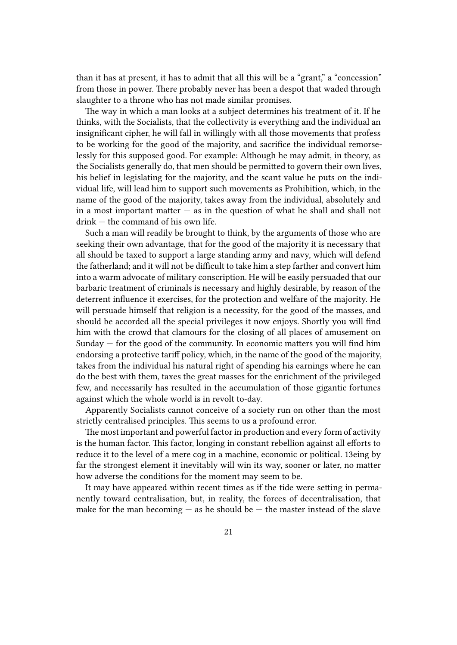than it has at present, it has to admit that all this will be a "grant," a "concession" from those in power. There probably never has been a despot that waded through slaughter to a throne who has not made similar promises.

The way in which a man looks at a subject determines his treatment of it. If he thinks, with the Socialists, that the collectivity is everything and the individual an insignificant cipher, he will fall in willingly with all those movements that profess to be working for the good of the majority, and sacrifice the individual remorselessly for this supposed good. For example: Although he may admit, in theory, as the Socialists generally do, that men should be permitted to govern their own lives, his belief in legislating for the majority, and the scant value he puts on the individual life, will lead him to support such movements as Prohibition, which, in the name of the good of the majority, takes away from the individual, absolutely and in a most important matter  $-$  as in the question of what he shall and shall not drink — the command of his own life.

Such a man will readily be brought to think, by the arguments of those who are seeking their own advantage, that for the good of the majority it is necessary that all should be taxed to support a large standing army and navy, which will defend the fatherland; and it will not be difficult to take him a step farther and convert him into a warm advocate of military conscription. He will be easily persuaded that our barbaric treatment of criminals is necessary and highly desirable, by reason of the deterrent influence it exercises, for the protection and welfare of the majority. He will persuade himself that religion is a necessity, for the good of the masses, and should be accorded all the special privileges it now enjoys. Shortly you will find him with the crowd that clamours for the closing of all places of amusement on Sunday — for the good of the community. In economic matters you will find him endorsing a protective tariff policy, which, in the name of the good of the majority, takes from the individual his natural right of spending his earnings where he can do the best with them, taxes the great masses for the enrichment of the privileged few, and necessarily has resulted in the accumulation of those gigantic fortunes against which the whole world is in revolt to-day.

Apparently Socialists cannot conceive of a society run on other than the most strictly centralised principles. This seems to us a profound error.

The most important and powerful factor in production and every form of activity is the human factor. This factor, longing in constant rebellion against all efforts to reduce it to the level of a mere cog in a machine, economic or political. 13eing by far the strongest element it inevitably will win its way, sooner or later, no matter how adverse the conditions for the moment may seem to be.

It may have appeared within recent times as if the tide were setting in permanently toward centralisation, but, in reality, the forces of decentralisation, that make for the man becoming  $-$  as he should be  $-$  the master instead of the slave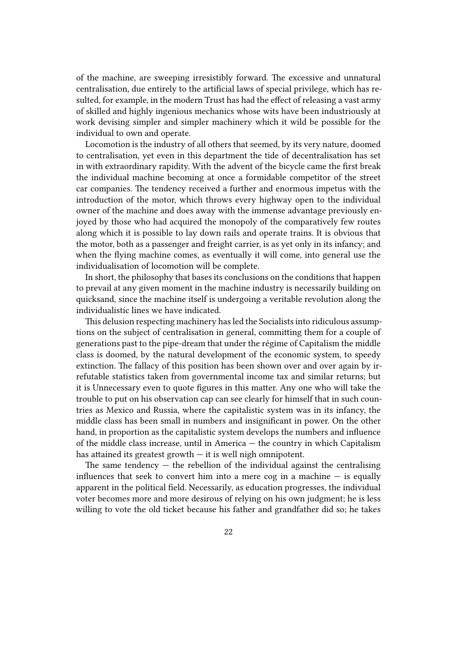of the machine, are sweeping irresistibly forward. The excessive and unnatural centralisation, due entirely to the artificial laws of special privilege, which has resulted, for example, in the modern Trust has had the effect of releasing a vast army of skilled and highly ingenious mechanics whose wits have been industriously at work devising simpler and simpler machinery which it wild be possible for the individual to own and operate.

Locomotion is the industry of all others that seemed, by its very nature, doomed to centralisation, yet even in this department the tide of decentralisation has set in with extraordinary rapidity. With the advent of the bicycle came the first break the individual machine becoming at once a formidable competitor of the street car companies. The tendency received a further and enormous impetus with the introduction of the motor, which throws every highway open to the individual owner of the machine and does away with the immense advantage previously enjoyed by those who had acquired the monopoly of the comparatively few routes along which it is possible to lay down rails and operate trains. It is obvious that the motor, both as a passenger and freight carrier, is as yet only in its infancy; and when the flying machine comes, as eventually it will come, into general use the individualisation of locomotion will be complete.

In short, the philosophy that bases its conclusions on the conditions that happen to prevail at any given moment in the machine industry is necessarily building on quicksand, since the machine itself is undergoing a veritable revolution along the individualistic lines we have indicated.

This delusion respecting machinery has led the Socialists into ridiculous assumptions on the subject of centralisation in general, committing them for a couple of generations past to the pipe-dream that under the régime of Capitalism the middle class is doomed, by the natural development of the economic system, to speedy extinction. The fallacy of this position has been shown over and over again by irrefutable statistics taken from governmental income tax and similar returns; but it is Unnecessary even to quote figures in this matter. Any one who will take the trouble to put on his observation cap can see clearly for himself that in such countries as Mexico and Russia, where the capitalistic system was in its infancy, the middle class has been small in numbers and insignificant in power. On the other hand, in proportion as the capitalistic system develops the numbers and influence of the middle class increase, until in America — the country in which Capitalism has attained its greatest growth — it is well nigh omnipotent.

The same tendency  $-$  the rebellion of the individual against the centralising influences that seek to convert him into a mere cog in a machine  $-$  is equally apparent in the political field. Necessarily, as education progresses, the individual voter becomes more and more desirous of relying on his own judgment; he is less willing to vote the old ticket because his father and grandfather did so; he takes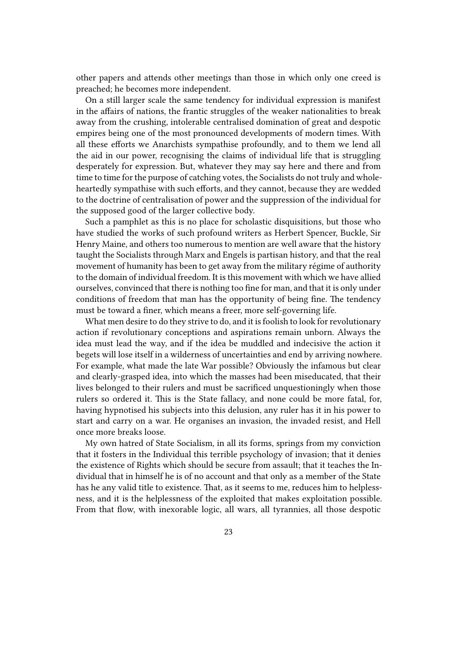other papers and attends other meetings than those in which only one creed is preached; he becomes more independent.

On a still larger scale the same tendency for individual expression is manifest in the affairs of nations, the frantic struggles of the weaker nationalities to break away from the crushing, intolerable centralised domination of great and despotic empires being one of the most pronounced developments of modern times. With all these efforts we Anarchists sympathise profoundly, and to them we lend all the aid in our power, recognising the claims of individual life that is struggling desperately for expression. But, whatever they may say here and there and from time to time for the purpose of catching votes, the Socialists do not truly and wholeheartedly sympathise with such efforts, and they cannot, because they are wedded to the doctrine of centralisation of power and the suppression of the individual for the supposed good of the larger collective body.

Such a pamphlet as this is no place for scholastic disquisitions, but those who have studied the works of such profound writers as Herbert Spencer, Buckle, Sir Henry Maine, and others too numerous to mention are well aware that the history taught the Socialists through Marx and Engels is partisan history, and that the real movement of humanity has been to get away from the military régime of authority to the domain of individual freedom. It is this movement with which we have allied ourselves, convinced that there is nothing too fine for man, and that it is only under conditions of freedom that man has the opportunity of being fine. The tendency must be toward a finer, which means a freer, more self-governing life.

What men desire to do they strive to do, and it is foolish to look for revolutionary action if revolutionary conceptions and aspirations remain unborn. Always the idea must lead the way, and if the idea be muddled and indecisive the action it begets will lose itself in a wilderness of uncertainties and end by arriving nowhere. For example, what made the late War possible? Obviously the infamous but clear and clearly-grasped idea, into which the masses had been miseducated, that their lives belonged to their rulers and must be sacrificed unquestioningly when those rulers so ordered it. This is the State fallacy, and none could be more fatal, for, having hypnotised his subjects into this delusion, any ruler has it in his power to start and carry on a war. He organises an invasion, the invaded resist, and Hell once more breaks loose.

My own hatred of State Socialism, in all its forms, springs from my conviction that it fosters in the Individual this terrible psychology of invasion; that it denies the existence of Rights which should be secure from assault; that it teaches the Individual that in himself he is of no account and that only as a member of the State has he any valid title to existence. That, as it seems to me, reduces him to helplessness, and it is the helplessness of the exploited that makes exploitation possible. From that flow, with inexorable logic, all wars, all tyrannies, all those despotic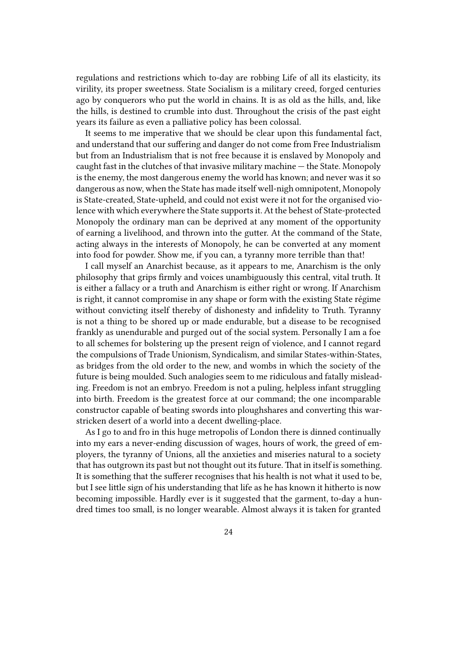regulations and restrictions which to-day are robbing Life of all its elasticity, its virility, its proper sweetness. State Socialism is a military creed, forged centuries ago by conquerors who put the world in chains. It is as old as the hills, and, like the hills, is destined to crumble into dust. Throughout the crisis of the past eight years its failure as even a palliative policy has been colossal.

It seems to me imperative that we should be clear upon this fundamental fact, and understand that our suffering and danger do not come from Free Industrialism but from an Industrialism that is not free because it is enslaved by Monopoly and caught fast in the clutches of that invasive military machine — the State. Monopoly is the enemy, the most dangerous enemy the world has known; and never was it so dangerous as now, when the State has made itself well-nigh omnipotent, Monopoly is State-created, State-upheld, and could not exist were it not for the organised violence with which everywhere the State supports it. At the behest of State-protected Monopoly the ordinary man can be deprived at any moment of the opportunity of earning a livelihood, and thrown into the gutter. At the command of the State, acting always in the interests of Monopoly, he can be converted at any moment into food for powder. Show me, if you can, a tyranny more terrible than that!

I call myself an Anarchist because, as it appears to me, Anarchism is the only philosophy that grips firmly and voices unambiguously this central, vital truth. It is either a fallacy or a truth and Anarchism is either right or wrong. If Anarchism is right, it cannot compromise in any shape or form with the existing State régime without convicting itself thereby of dishonesty and infidelity to Truth. Tyranny is not a thing to be shored up or made endurable, but a disease to be recognised frankly as unendurable and purged out of the social system. Personally I am a foe to all schemes for bolstering up the present reign of violence, and I cannot regard the compulsions of Trade Unionism, Syndicalism, and similar States-within-States, as bridges from the old order to the new, and wombs in which the society of the future is being moulded. Such analogies seem to me ridiculous and fatally misleading. Freedom is not an embryo. Freedom is not a puling, helpless infant struggling into birth. Freedom is the greatest force at our command; the one incomparable constructor capable of beating swords into ploughshares and converting this warstricken desert of a world into a decent dwelling-place.

As I go to and fro in this huge metropolis of London there is dinned continually into my ears a never-ending discussion of wages, hours of work, the greed of employers, the tyranny of Unions, all the anxieties and miseries natural to a society that has outgrown its past but not thought out its future. That in itself is something. It is something that the sufferer recognises that his health is not what it used to be, but I see little sign of his understanding that life as he has known it hitherto is now becoming impossible. Hardly ever is it suggested that the garment, to-day a hundred times too small, is no longer wearable. Almost always it is taken for granted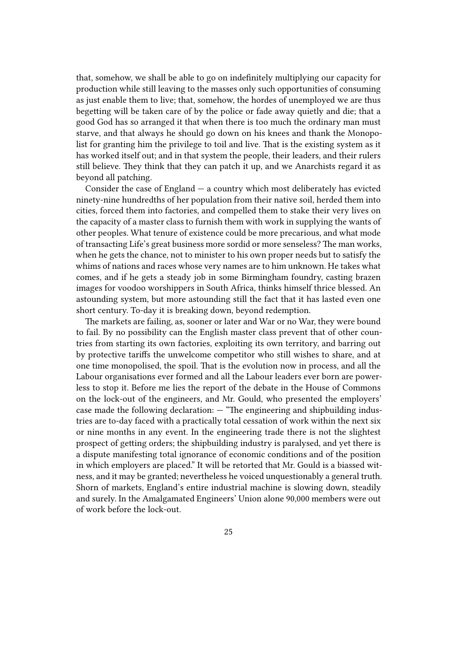that, somehow, we shall be able to go on indefinitely multiplying our capacity for production while still leaving to the masses only such opportunities of consuming as just enable them to live; that, somehow, the hordes of unemployed we are thus begetting will be taken care of by the police or fade away quietly and die; that a good God has so arranged it that when there is too much the ordinary man must starve, and that always he should go down on his knees and thank the Monopolist for granting him the privilege to toil and live. That is the existing system as it has worked itself out; and in that system the people, their leaders, and their rulers still believe. They think that they can patch it up, and we Anarchists regard it as beyond all patching.

Consider the case of England  $-$  a country which most deliberately has evicted ninety-nine hundredths of her population from their native soil, herded them into cities, forced them into factories, and compelled them to stake their very lives on the capacity of a master class to furnish them with work in supplying the wants of other peoples. What tenure of existence could be more precarious, and what mode of transacting Life's great business more sordid or more senseless? The man works, when he gets the chance, not to minister to his own proper needs but to satisfy the whims of nations and races whose very names are to him unknown. He takes what comes, and if he gets a steady job in some Birmingham foundry, casting brazen images for voodoo worshippers in South Africa, thinks himself thrice blessed. An astounding system, but more astounding still the fact that it has lasted even one short century. To-day it is breaking down, beyond redemption.

The markets are failing, as, sooner or later and War or no War, they were bound to fail. By no possibility can the English master class prevent that of other countries from starting its own factories, exploiting its own territory, and barring out by protective tariffs the unwelcome competitor who still wishes to share, and at one time monopolised, the spoil. That is the evolution now in process, and all the Labour organisations ever formed and all the Labour leaders ever born are powerless to stop it. Before me lies the report of the debate in the House of Commons on the lock-out of the engineers, and Mr. Gould, who presented the employers' case made the following declaration: — "The engineering and shipbuilding industries are to-day faced with a practically total cessation of work within the next six or nine months in any event. In the engineering trade there is not the slightest prospect of getting orders; the shipbuilding industry is paralysed, and yet there is a dispute manifesting total ignorance of economic conditions and of the position in which employers are placed." It will be retorted that Mr. Gould is a biassed witness, and it may be granted; nevertheless he voiced unquestionably a general truth. Shorn of markets, England's entire industrial machine is slowing down, steadily and surely. In the Amalgamated Engineers' Union alone 90,000 members were out of work before the lock-out.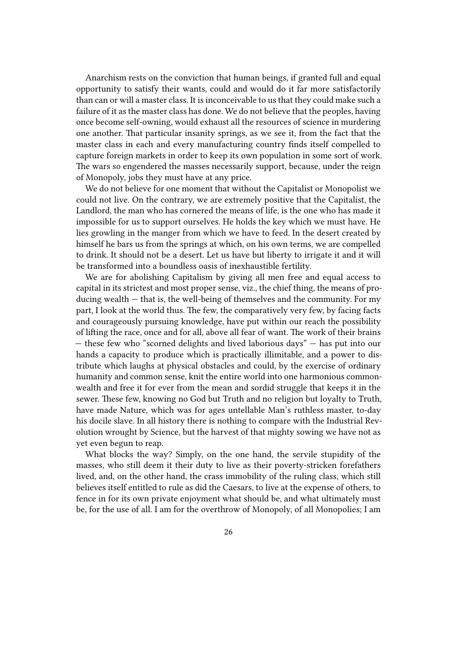Anarchism rests on the conviction that human beings, if granted full and equal opportunity to satisfy their wants, could and would do it far more satisfactorily than can or will a master class. It is inconceivable to us that they could make such a failure of it as the master class has done. We do not believe that the peoples, having once become self-owning, would exhaust all the resources of science in murdering one another. That particular insanity springs, as we see it, from the fact that the master class in each and every manufacturing country finds itself compelled to capture foreign markets in order to keep its own population in some sort of work. The wars so engendered the masses necessarily support, because, under the reign of Monopoly, jobs they must have at any price.

We do not believe for one moment that without the Capitalist or Monopolist we could not live. On the contrary, we are extremely positive that the Capitalist, the Landlord, the man who has cornered the means of life, is the one who has made it impossible for us to support ourselves. He holds the key which we must have. He lies growling in the manger from which we have to feed. In the desert created by himself he bars us from the springs at which, on his own terms, we are compelled to drink. It should not be a desert. Let us have but liberty to irrigate it and it will be transformed into a boundless oasis of inexhaustible fertility.

We are for abolishing Capitalism by giving all men free and equal access to capital in its strictest and most proper sense, viz., the chief thing, the means of producing wealth — that is, the well-being of themselves and the community. For my part, I look at the world thus. The few, the comparatively very few, by facing facts and courageously pursuing knowledge, have put within our reach the possibility of lifting the race, once and for all, above all fear of want. The work of their brains — these few who "scorned delights and lived laborious days" — has put into our hands a capacity to produce which is practically illimitable, and a power to distribute which laughs at physical obstacles and could, by the exercise of ordinary humanity and common sense, knit the entire world into one harmonious commonwealth and free it for ever from the mean and sordid struggle that keeps it in the sewer. These few, knowing no God but Truth and no religion but loyalty to Truth, have made Nature, which was for ages untellable Man's ruthless master, to-day his docile slave. In all history there is nothing to compare with the Industrial Revolution wrought by Science, but the harvest of that mighty sowing we have not as yet even begun to reap.

What blocks the way? Simply, on the one hand, the servile stupidity of the masses, who still deem it their duty to live as their poverty-stricken forefathers lived, and, on the other hand, the crass immobility of the ruling class, which still believes itself entitled to rule as did the Caesars, to live at the expense of others, to fence in for its own private enjoyment what should be, and what ultimately must be, for the use of all. I am for the overthrow of Monopoly, of all Monopolies; I am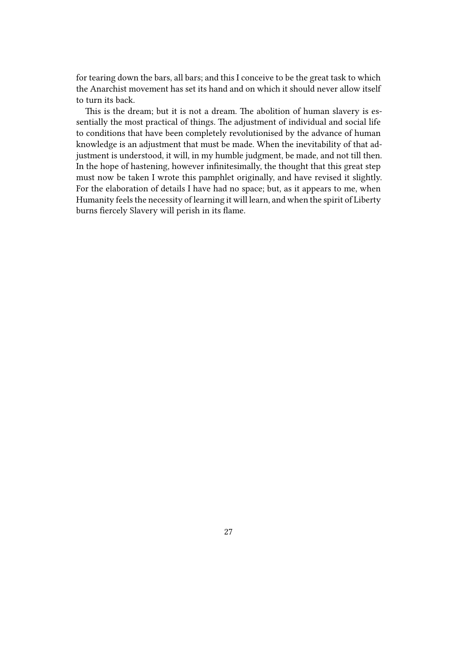for tearing down the bars, all bars; and this I conceive to be the great task to which the Anarchist movement has set its hand and on which it should never allow itself to turn its back.

This is the dream; but it is not a dream. The abolition of human slavery is essentially the most practical of things. The adjustment of individual and social life to conditions that have been completely revolutionised by the advance of human knowledge is an adjustment that must be made. When the inevitability of that adjustment is understood, it will, in my humble judgment, be made, and not till then. In the hope of hastening, however infinitesimally, the thought that this great step must now be taken I wrote this pamphlet originally, and have revised it slightly. For the elaboration of details I have had no space; but, as it appears to me, when Humanity feels the necessity of learning it will learn, and when the spirit of Liberty burns fiercely Slavery will perish in its flame.